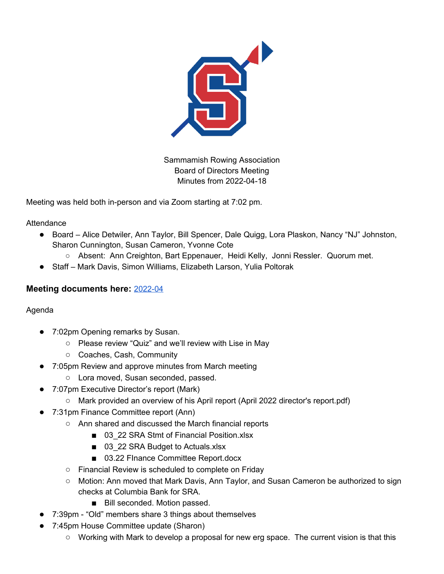

Sammamish Rowing Association Board of Directors Meeting Minutes from 2022-04-18

Meeting was held both in-person and via Zoom starting at 7:02 pm.

**Attendance** 

- Board Alice Detwiler, Ann Taylor, Bill Spencer, Dale Quigg, Lora Plaskon, Nancy "NJ" Johnston, Sharon Cunnington, Susan Cameron, Yvonne Cote
	- Absent: Ann Creighton, Bart Eppenauer, Heidi Kelly, Jonni Ressler. Quorum met.
- Staff Mark Davis, Simon Williams, Elizabeth Larson, Yulia Poltorak

## **Meeting documents here:** [2022-04](https://drive.google.com/drive/folders/1ZmoRfquu6A7ckIRU-gthnimfAT7UQYD3?usp=sharing)

Agenda

- 7:02pm Opening remarks by Susan.
	- Please review "Quiz" and we'll review with Lise in May
	- Coaches, Cash, Community
- 7:05pm Review and approve minutes from March meeting
	- Lora moved, Susan seconded, passed.
- 7:07pm Executive Director's report (Mark)
	- Mark provided an overview of his April report (April 2022 director's report.pdf)
- 7:31pm Finance Committee report (Ann)
	- Ann shared and discussed the March financial reports
		- 03\_22 SRA Stmt of Financial Position.xlsx
		- 03\_22 SRA Budget to Actuals.xlsx
		- 03.22 FInance Committee Report.docx
	- Financial Review is scheduled to complete on Friday
	- Motion: Ann moved that Mark Davis, Ann Taylor, and Susan Cameron be authorized to sign checks at Columbia Bank for SRA.
		- Bill seconded. Motion passed.
- 7:39pm "Old" members share 3 things about themselves
- 7:45pm House Committee update (Sharon)
	- Working with Mark to develop a proposal for new erg space. The current vision is that this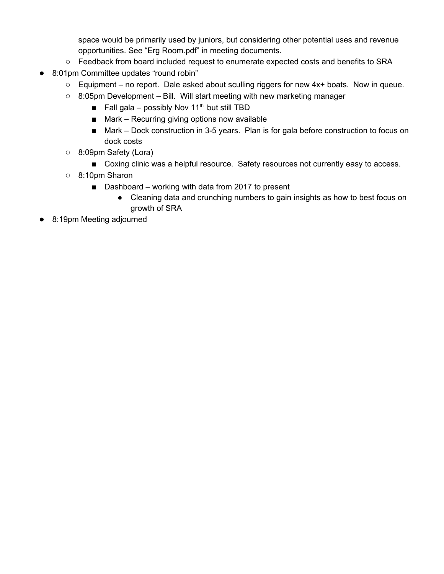space would be primarily used by juniors, but considering other potential uses and revenue opportunities. See "Erg Room.pdf" in meeting documents.

- Feedback from board included request to enumerate expected costs and benefits to SRA
- 8:01pm Committee updates "round robin"
	- Equipment no report. Dale asked about sculling riggers for new 4x+ boats. Now in queue.
	- 8:05pm Development Bill. Will start meeting with new marketing manager
		- Fall gala possibly Nov 11<sup>th</sup> but still TBD
		- Mark Recurring giving options now available
		- Mark Dock construction in 3-5 years. Plan is for gala before construction to focus on dock costs
	- 8:09pm Safety (Lora)
		- Coxing clinic was a helpful resource. Safety resources not currently easy to access.
	- 8:10pm Sharon
		- Dashboard working with data from 2017 to present
			- Cleaning data and crunching numbers to gain insights as how to best focus on growth of SRA
- 8:19pm Meeting adjourned